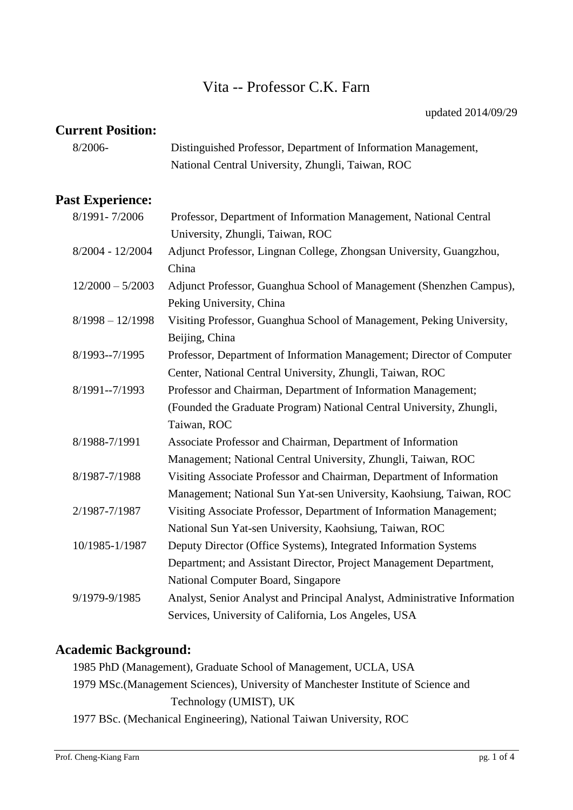# Vita -- Professor C.K. Farn

### **Current Position:**

| 8/2006- | Distinguished Professor, Department of Information Management, |
|---------|----------------------------------------------------------------|
|         | National Central University, Zhungli, Taiwan, ROC              |

### **Past Experience:**

| 8/1991-7/2006      | Professor, Department of Information Management, National Central         |
|--------------------|---------------------------------------------------------------------------|
|                    | University, Zhungli, Taiwan, ROC                                          |
| 8/2004 - 12/2004   | Adjunct Professor, Lingnan College, Zhongsan University, Guangzhou,       |
|                    | China                                                                     |
| $12/2000 - 5/2003$ | Adjunct Professor, Guanghua School of Management (Shenzhen Campus),       |
|                    | Peking University, China                                                  |
| $8/1998 - 12/1998$ | Visiting Professor, Guanghua School of Management, Peking University,     |
|                    | Beijing, China                                                            |
| 8/1993--7/1995     | Professor, Department of Information Management; Director of Computer     |
|                    | Center, National Central University, Zhungli, Taiwan, ROC                 |
| 8/1991--7/1993     | Professor and Chairman, Department of Information Management;             |
|                    | (Founded the Graduate Program) National Central University, Zhungli,      |
|                    | Taiwan, ROC                                                               |
| 8/1988-7/1991      | Associate Professor and Chairman, Department of Information               |
|                    | Management; National Central University, Zhungli, Taiwan, ROC             |
| 8/1987-7/1988      | Visiting Associate Professor and Chairman, Department of Information      |
|                    | Management; National Sun Yat-sen University, Kaohsiung, Taiwan, ROC       |
| 2/1987-7/1987      | Visiting Associate Professor, Department of Information Management;       |
|                    | National Sun Yat-sen University, Kaohsiung, Taiwan, ROC                   |
| 10/1985-1/1987     | Deputy Director (Office Systems), Integrated Information Systems          |
|                    | Department; and Assistant Director, Project Management Department,        |
|                    | National Computer Board, Singapore                                        |
| 9/1979-9/1985      | Analyst, Senior Analyst and Principal Analyst, Administrative Information |
|                    | Services, University of California, Los Angeles, USA                      |

# **Academic Background:**

 PhD (Management), Graduate School of Management, UCLA, USA MSc.(Management Sciences), University of Manchester Institute of Science and Technology (UMIST), UK BSc. (Mechanical Engineering), National Taiwan University, ROC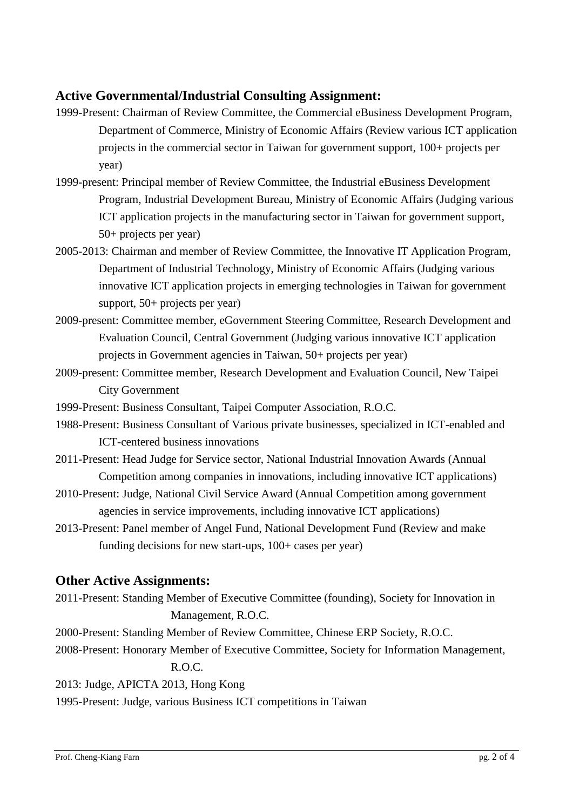# **Active Governmental/Industrial Consulting Assignment:**

- 1999-Present: Chairman of Review Committee, the Commercial eBusiness Development Program, Department of Commerce, Ministry of Economic Affairs (Review various ICT application projects in the commercial sector in Taiwan for government support, 100+ projects per year)
- 1999-present: Principal member of Review Committee, the Industrial eBusiness Development Program, Industrial Development Bureau, Ministry of Economic Affairs (Judging various ICT application projects in the manufacturing sector in Taiwan for government support, 50+ projects per year)
- 2005-2013: Chairman and member of Review Committee, the Innovative IT Application Program, Department of Industrial Technology, Ministry of Economic Affairs (Judging various innovative ICT application projects in emerging technologies in Taiwan for government support, 50+ projects per year)
- 2009-present: Committee member, eGovernment Steering Committee, Research Development and Evaluation Council, Central Government (Judging various innovative ICT application projects in Government agencies in Taiwan, 50+ projects per year)
- 2009-present: Committee member, Research Development and Evaluation Council, New Taipei City Government
- 1999-Present: Business Consultant, Taipei Computer Association, R.O.C.
- 1988-Present: Business Consultant of Various private businesses, specialized in ICT-enabled and ICT-centered business innovations
- 2011-Present: Head Judge for Service sector, National Industrial Innovation Awards (Annual Competition among companies in innovations, including innovative ICT applications)
- 2010-Present: Judge, National Civil Service Award (Annual Competition among government agencies in service improvements, including innovative ICT applications)
- 2013-Present: Panel member of Angel Fund, National Development Fund (Review and make funding decisions for new start-ups, 100+ cases per year)

# **Other Active Assignments:**

2011-Present: Standing Member of Executive Committee (founding), Society for Innovation in Management, R.O.C.

2000-Present: Standing Member of Review Committee, Chinese ERP Society, R.O.C.

2008-Present: Honorary Member of Executive Committee, Society for Information Management,

#### R.O.C.

2013: Judge, APICTA 2013, Hong Kong

1995-Present: Judge, various Business ICT competitions in Taiwan